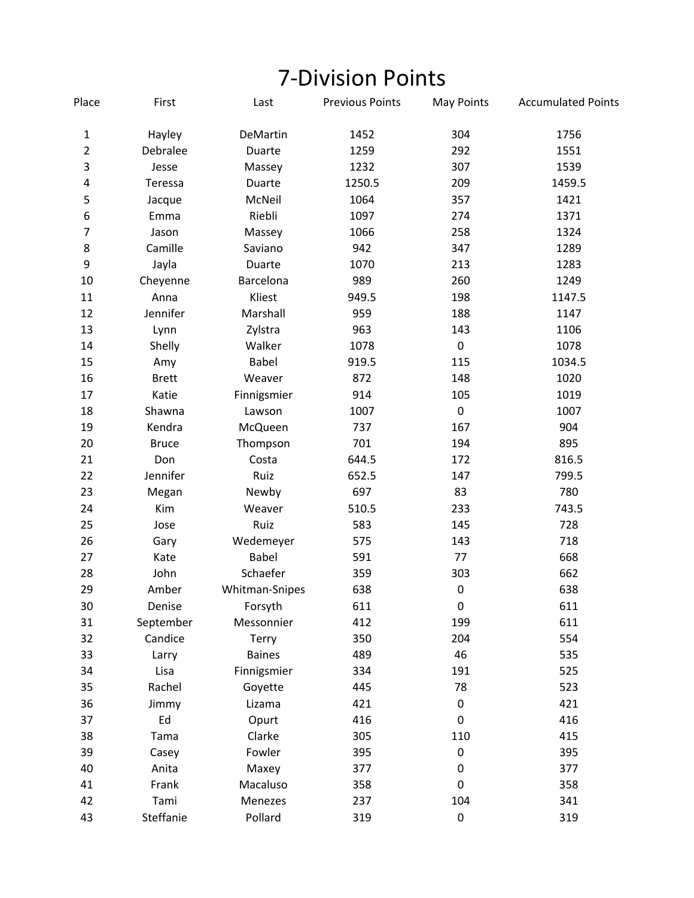## 7‐Division Points

| Place          | First        | Last           | <b>Previous Points</b> | <b>May Points</b> | <b>Accumulated Points</b> |
|----------------|--------------|----------------|------------------------|-------------------|---------------------------|
| $\mathbf{1}$   | Hayley       | DeMartin       | 1452                   | 304               | 1756                      |
| $\overline{2}$ | Debralee     | Duarte         | 1259                   | 292               | 1551                      |
| 3              | Jesse        | Massey         | 1232                   | 307               | 1539                      |
| 4              | Teressa      | Duarte         | 1250.5                 | 209               | 1459.5                    |
| 5              | Jacque       | McNeil         | 1064                   | 357               | 1421                      |
| 6              | Emma         | Riebli         | 1097                   | 274               | 1371                      |
| $\overline{7}$ | Jason        | Massey         | 1066                   | 258               | 1324                      |
| 8              | Camille      | Saviano        | 942                    | 347               | 1289                      |
| 9              | Jayla        | Duarte         | 1070                   | 213               | 1283                      |
| 10             | Cheyenne     | Barcelona      | 989                    | 260               | 1249                      |
| 11             | Anna         | Kliest         | 949.5                  | 198               | 1147.5                    |
| 12             | Jennifer     | Marshall       | 959                    | 188               | 1147                      |
| 13             | Lynn         | Zylstra        | 963                    | 143               | 1106                      |
| 14             | Shelly       | Walker         | 1078                   | $\pmb{0}$         | 1078                      |
| 15             | Amy          | Babel          | 919.5                  | 115               | 1034.5                    |
| 16             | <b>Brett</b> | Weaver         | 872                    | 148               | 1020                      |
| 17             | Katie        | Finnigsmier    | 914                    | 105               | 1019                      |
| 18             | Shawna       | Lawson         | 1007                   | $\pmb{0}$         | 1007                      |
| 19             | Kendra       | McQueen        | 737                    | 167               | 904                       |
| 20             | <b>Bruce</b> | Thompson       | 701                    | 194               | 895                       |
| 21             | Don          | Costa          | 644.5                  | 172               | 816.5                     |
| 22             | Jennifer     | Ruiz           | 652.5                  | 147               | 799.5                     |
| 23             | Megan        | Newby          | 697                    | 83                | 780                       |
| 24             | Kim          | Weaver         | 510.5                  | 233               | 743.5                     |
| 25             | Jose         | Ruiz           | 583                    | 145               | 728                       |
| 26             | Gary         | Wedemeyer      | 575                    | 143               | 718                       |
| 27             | Kate         | <b>Babel</b>   | 591                    | 77                | 668                       |
| 28             | John         | Schaefer       | 359                    | 303               | 662                       |
| 29             | Amber        | Whitman-Snipes | 638                    | $\pmb{0}$         | 638                       |
| 30             | Denise       | Forsyth        | 611                    | $\mathbf 0$       | 611                       |
| 31             | September    | Messonnier     | 412                    | 199               | 611                       |
| 32             | Candice      | Terry          | 350                    | 204               | 554                       |
| 33             | Larry        | <b>Baines</b>  | 489                    | 46                | 535                       |
| 34             | Lisa         | Finnigsmier    | 334                    | 191               | 525                       |
| 35             | Rachel       | Goyette        | 445                    | 78                | 523                       |
| 36             | Jimmy        | Lizama         | 421                    | 0                 | 421                       |
| 37             | Ed           | Opurt          | 416                    | 0                 | 416                       |
| 38             | Tama         | Clarke         | 305                    | 110               | 415                       |
| 39             | Casey        | Fowler         | 395                    | 0                 | 395                       |
| 40             | Anita        | Maxey          | 377                    | 0                 | 377                       |
| 41             | Frank        | Macaluso       | 358                    | 0                 | 358                       |
| 42             | Tami         | Menezes        | 237                    | 104               | 341                       |
| 43             | Steffanie    | Pollard        | 319                    | $\pmb{0}$         | 319                       |